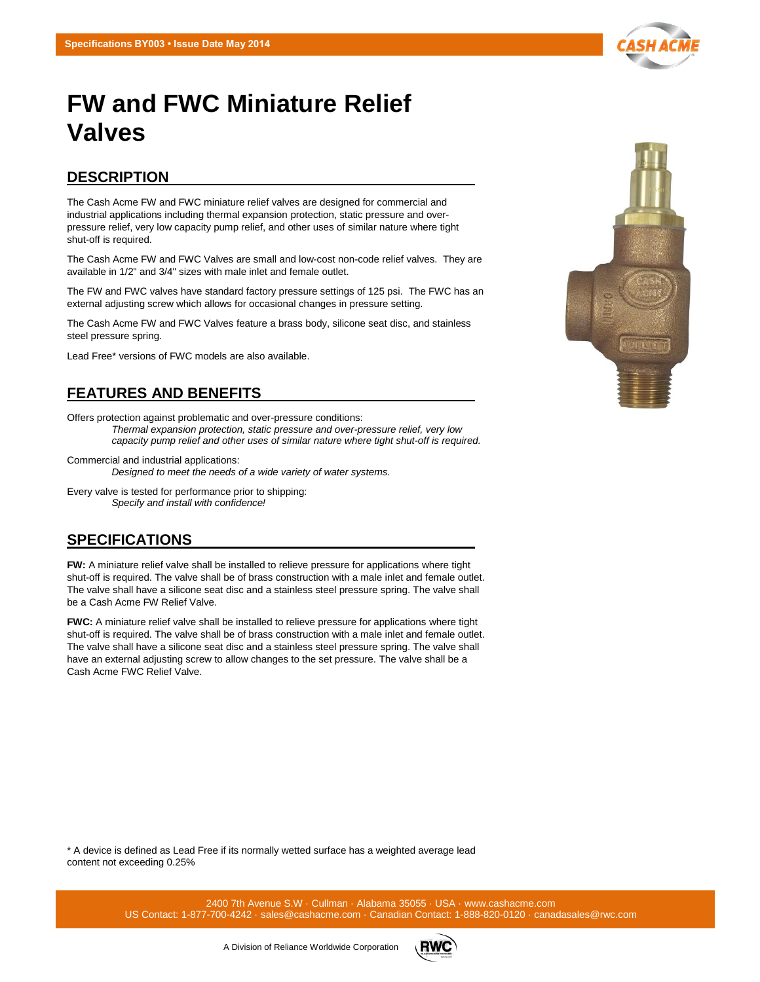# **FW and FWC Miniature Relief Valves**

### **DESCRIPTION**

The Cash Acme FW and FWC miniature relief valves are designed for commercial and industrial applications including thermal expansion protection, static pressure and overpressure relief, very low capacity pump relief, and other uses of similar nature where tight shut-off is required.

The Cash Acme FW and FWC Valves are small and low-cost non-code relief valves. They are available in 1/2" and 3/4" sizes with male inlet and female outlet.

The FW and FWC valves have standard factory pressure settings of 125 psi. The FWC has an external adjusting screw which allows for occasional changes in pressure setting.

The Cash Acme FW and FWC Valves feature a brass body, silicone seat disc, and stainless steel pressure spring.

Lead Free\* versions of FWC models are also available.

## **FEATURES AND BENEFITS**

Offers protection against problematic and over-pressure conditions: *Thermal expansion protection, static pressure and over-pressure relief, very low capacity pump relief and other uses of similar nature where tight shut-off is required.*

Commercial and industrial applications:

*Designed to meet the needs of a wide variety of water systems.*

Every valve is tested for performance prior to shipping: *Specify and install with confidence!*

#### **SPECIFICATIONS**

**FW:** A miniature relief valve shall be installed to relieve pressure for applications where tight shut-off is required. The valve shall be of brass construction with a male inlet and female outlet. The valve shall have a silicone seat disc and a stainless steel pressure spring. The valve shall be a Cash Acme FW Relief Valve.

**FWC:** A miniature relief valve shall be installed to relieve pressure for applications where tight shut-off is required. The valve shall be of brass construction with a male inlet and female outlet. The valve shall have a silicone seat disc and a stainless steel pressure spring. The valve shall have an external adjusting screw to allow changes to the set pressure. The valve shall be a Cash Acme FWC Relief Valve.

\* A device is defined as Lead Free if its normally wetted surface has a weighted average lead content not exceeding 0.25%

> 2400 7th Avenue S.W · Cullman · Alabama 35055 · USA · www.cashacme.com US Contact: 1-877-700-4242 · sales@cashacme.com · Canadian Contact: 1-888-820-0120 · canadasales@rwc.com